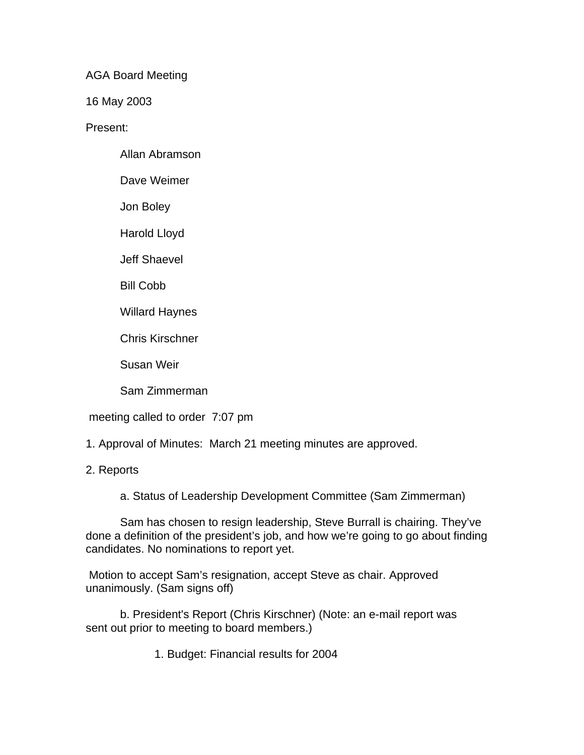AGA Board Meeting

16 May 2003

Present:

Allan Abramson

Dave Weimer

Jon Boley

Harold Lloyd

Jeff Shaevel

Bill Cobb

Willard Haynes

Chris Kirschner

Susan Weir

Sam Zimmerman

meeting called to order 7:07 pm

1. Approval of Minutes: March 21 meeting minutes are approved.

## 2. Reports

a. Status of Leadership Development Committee (Sam Zimmerman)

Sam has chosen to resign leadership, Steve Burrall is chairing. They've done a definition of the president's job, and how we're going to go about finding candidates. No nominations to report yet.

 Motion to accept Sam's resignation, accept Steve as chair. Approved unanimously. (Sam signs off)

b. President's Report (Chris Kirschner) (Note: an e-mail report was sent out prior to meeting to board members.)

1. Budget: Financial results for 2004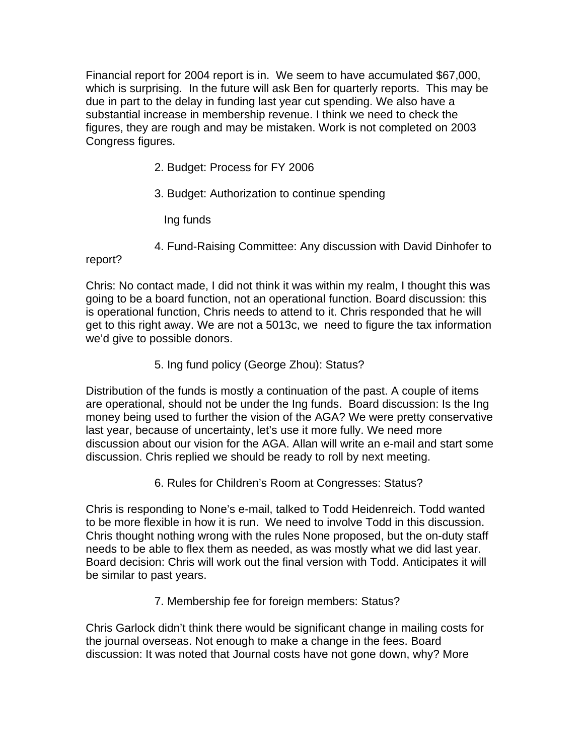Financial report for 2004 report is in. We seem to have accumulated \$67,000, which is surprising. In the future will ask Ben for quarterly reports. This may be due in part to the delay in funding last year cut spending. We also have a substantial increase in membership revenue. I think we need to check the figures, they are rough and may be mistaken. Work is not completed on 2003 Congress figures.

- 2. Budget: Process for FY 2006
- 3. Budget: Authorization to continue spending

Ing funds

4. Fund-Raising Committee: Any discussion with David Dinhofer to

report?

Chris: No contact made, I did not think it was within my realm, I thought this was going to be a board function, not an operational function. Board discussion: this is operational function, Chris needs to attend to it. Chris responded that he will get to this right away. We are not a 5013c, we need to figure the tax information we'd give to possible donors.

5. Ing fund policy (George Zhou): Status?

Distribution of the funds is mostly a continuation of the past. A couple of items are operational, should not be under the Ing funds. Board discussion: Is the Ing money being used to further the vision of the AGA? We were pretty conservative last year, because of uncertainty, let's use it more fully. We need more discussion about our vision for the AGA. Allan will write an e-mail and start some discussion. Chris replied we should be ready to roll by next meeting.

6. Rules for Children's Room at Congresses: Status?

Chris is responding to None's e-mail, talked to Todd Heidenreich. Todd wanted to be more flexible in how it is run. We need to involve Todd in this discussion. Chris thought nothing wrong with the rules None proposed, but the on-duty staff needs to be able to flex them as needed, as was mostly what we did last year. Board decision: Chris will work out the final version with Todd. Anticipates it will be similar to past years.

7. Membership fee for foreign members: Status?

Chris Garlock didn't think there would be significant change in mailing costs for the journal overseas. Not enough to make a change in the fees. Board discussion: It was noted that Journal costs have not gone down, why? More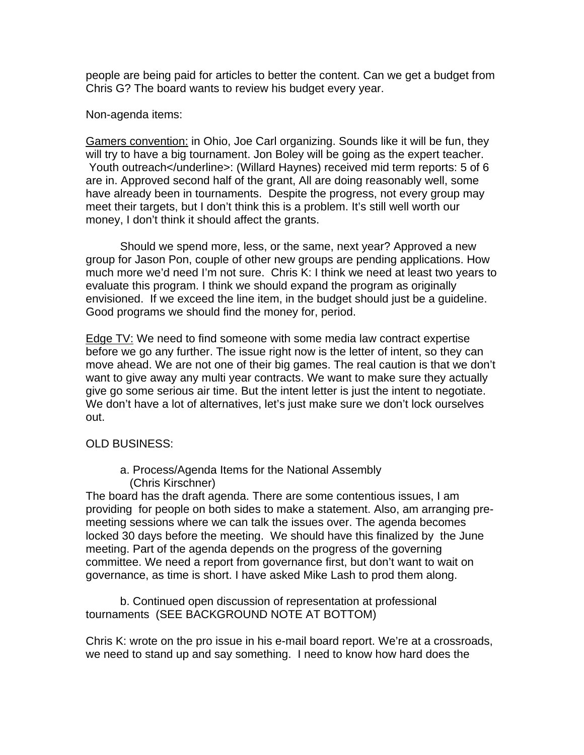people are being paid for articles to better the content. Can we get a budget from Chris G? The board wants to review his budget every year.

Non-agenda items:

Gamers convention: in Ohio, Joe Carl organizing. Sounds like it will be fun, they will try to have a big tournament. Jon Boley will be going as the expert teacher. Youth outreach</underline>: (Willard Haynes) received mid term reports: 5 of 6 are in. Approved second half of the grant, All are doing reasonably well, some have already been in tournaments. Despite the progress, not every group may meet their targets, but I don't think this is a problem. It's still well worth our money, I don't think it should affect the grants.

Should we spend more, less, or the same, next year? Approved a new group for Jason Pon, couple of other new groups are pending applications. How much more we'd need I'm not sure. Chris K: I think we need at least two years to evaluate this program. I think we should expand the program as originally envisioned. If we exceed the line item, in the budget should just be a guideline. Good programs we should find the money for, period.

Edge TV: We need to find someone with some media law contract expertise before we go any further. The issue right now is the letter of intent, so they can move ahead. We are not one of their big games. The real caution is that we don't want to give away any multi year contracts. We want to make sure they actually give go some serious air time. But the intent letter is just the intent to negotiate. We don't have a lot of alternatives, let's just make sure we don't lock ourselves out.

## OLD BUSINESS:

a. Process/Agenda Items for the National Assembly (Chris Kirschner)

The board has the draft agenda. There are some contentious issues, I am providing for people on both sides to make a statement. Also, am arranging premeeting sessions where we can talk the issues over. The agenda becomes locked 30 days before the meeting. We should have this finalized by the June meeting. Part of the agenda depends on the progress of the governing committee. We need a report from governance first, but don't want to wait on governance, as time is short. I have asked Mike Lash to prod them along.

b. Continued open discussion of representation at professional tournaments (SEE BACKGROUND NOTE AT BOTTOM)

Chris K: wrote on the pro issue in his e-mail board report. We're at a crossroads, we need to stand up and say something. I need to know how hard does the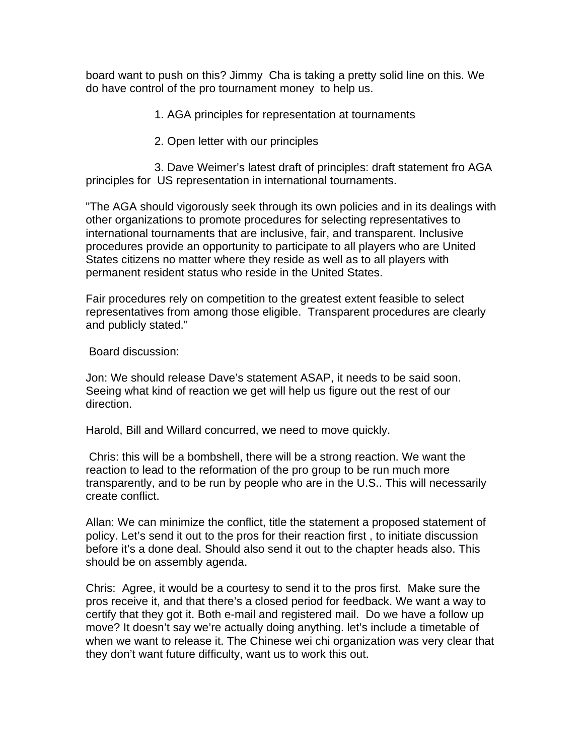board want to push on this? Jimmy Cha is taking a pretty solid line on this. We do have control of the pro tournament money to help us.

1. AGA principles for representation at tournaments

2. Open letter with our principles

3. Dave Weimer's latest draft of principles: draft statement fro AGA principles for US representation in international tournaments.

"The AGA should vigorously seek through its own policies and in its dealings with other organizations to promote procedures for selecting representatives to international tournaments that are inclusive, fair, and transparent. Inclusive procedures provide an opportunity to participate to all players who are United States citizens no matter where they reside as well as to all players with permanent resident status who reside in the United States.

Fair procedures rely on competition to the greatest extent feasible to select representatives from among those eligible. Transparent procedures are clearly and publicly stated."

Board discussion:

Jon: We should release Dave's statement ASAP, it needs to be said soon. Seeing what kind of reaction we get will help us figure out the rest of our direction.

Harold, Bill and Willard concurred, we need to move quickly.

 Chris: this will be a bombshell, there will be a strong reaction. We want the reaction to lead to the reformation of the pro group to be run much more transparently, and to be run by people who are in the U.S.. This will necessarily create conflict.

Allan: We can minimize the conflict, title the statement a proposed statement of policy. Let's send it out to the pros for their reaction first , to initiate discussion before it's a done deal. Should also send it out to the chapter heads also. This should be on assembly agenda.

Chris: Agree, it would be a courtesy to send it to the pros first. Make sure the pros receive it, and that there's a closed period for feedback. We want a way to certify that they got it. Both e-mail and registered mail. Do we have a follow up move? It doesn't say we're actually doing anything. let's include a timetable of when we want to release it. The Chinese wei chi organization was very clear that they don't want future difficulty, want us to work this out.